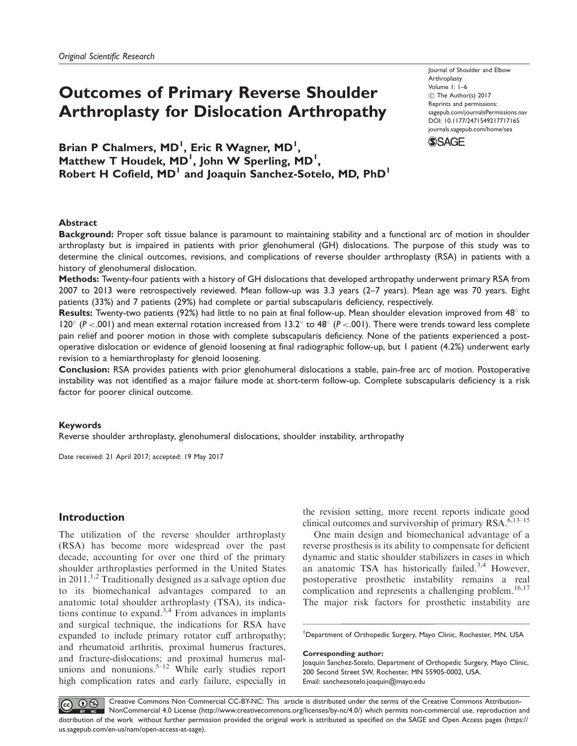# Outcomes of Primary Reverse Shoulder Arthroplasty for Dislocation Arthropathy

Journal of Shoulder and Elbow Arthroplasty Volume 1: 1–6 ! The Author(s) 2017 Reprints and permissions: [sagepub.com/journalsPermissions.nav](https://us.sagepub.com/en-us/nam/journals-permissions) DOI: [10.1177/2471549217717165](https://doi.org/10.1177/2471549217717165) <journals.sagepub.com/home/sea>



Brian P Chalmers, MD<sup>1</sup>, Eric R Wagner, MD<sup>1</sup>, Matthew T Houdek, MD<sup>1</sup>, John W Sperling, MD<sup>1</sup>, Robert H Cofield, MD<sup>1</sup> and Joaquin Sanchez-Sotelo, MD, PhD<sup>1</sup>

## Abstract

Background: Proper soft tissue balance is paramount to maintaining stability and a functional arc of motion in shoulder arthroplasty but is impaired in patients with prior glenohumeral (GH) dislocations. The purpose of this study was to determine the clinical outcomes, revisions, and complications of reverse shoulder arthroplasty (RSA) in patients with a history of glenohumeral dislocation.

Methods: Twenty-four patients with a history of GH dislocations that developed arthropathy underwent primary RSA from 2007 to 2013 were retrospectively reviewed. Mean follow-up was 3.3 years (2–7 years). Mean age was 70 years. Eight patients (33%) and 7 patients (29%) had complete or partial subscapularis deficiency, respectively.

Results: Twenty-two patients (92%) had little to no pain at final follow-up. Mean shoulder elevation improved from 48° to 120 $\degree$  (P <.001) and mean external rotation increased from 13.2 $\degree$  to 48 $\degree$  (P <.001). There were trends toward less complete pain relief and poorer motion in those with complete subscapularis deficiency. None of the patients experienced a postoperative dislocation or evidence of glenoid loosening at final radiographic follow-up, but 1 patient (4.2%) underwent early revision to a hemiarthroplasty for glenoid loosening.

Conclusion: RSA provides patients with prior glenohumeral dislocations a stable, pain-free arc of motion. Postoperative instability was not identified as a major failure mode at short-term follow-up. Complete subscapularis deficiency is a risk factor for poorer clinical outcome.

## Keywords

Reverse shoulder arthroplasty, glenohumeral dislocations, shoulder instability, arthropathy

Date received: 21 April 2017; accepted: 19 May 2017

# Introduction

The utilization of the reverse shoulder arthroplasty (RSA) has become more widespread over the past decade, accounting for over one third of the primary shoulder arthroplasties performed in the United States in 2011.<sup>1,2</sup> Traditionally designed as a salvage option due to its biomechanical advantages compared to an anatomic total shoulder arthroplasty (TSA), its indications continue to expand.<sup>3,4</sup> From advances in implants and surgical technique, the indications for RSA have expanded to include primary rotator cuff arthropathy; and rheumatoid arthritis, proximal humerus fractures, and fracture-dislocations; and proximal humerus malunions and nonunions.<sup>5–12</sup> While early studies report high complication rates and early failure, especially in the revision setting, more recent reports indicate good clinical outcomes and survivorship of primary RSA. $6,13-15$ 

One main design and biomechanical advantage of a reverse prosthesis is its ability to compensate for deficient dynamic and static shoulder stabilizers in cases in which an anatomic TSA has historically failed. $3,4$  However, postoperative prosthetic instability remains a real complication and represents a challenging problem.<sup>16,17</sup> The major risk factors for prosthetic instability are

<sup>1</sup>Department of Orthopedic Surgery, Mayo Clinic, Rochester, MN, USA

Corresponding author:

Joaquin Sanchez-Sotelo, Department of Orthopedic Surgery, Mayo Clinic, 200 Second Street SW, Rochester, MN 55905-0002, USA. Email: sanchezsotelo.joaquin@mayo.edu

Creative Commons Non Commercial CC-BY-NC: This article is distributed under the terms of the Creative Commons Attribution- $\odot$ NonCommercial 4.0 License (http://www.creativecommons.org/licenses/by-nc/4.0/) which permits non-commercial use, reproduction and distribution of the work without further permission provided the original work is attributed as specified on the SAGE and Open Access pages (https:// us.sagepub.com/en-us/nam/open-access-at-sage).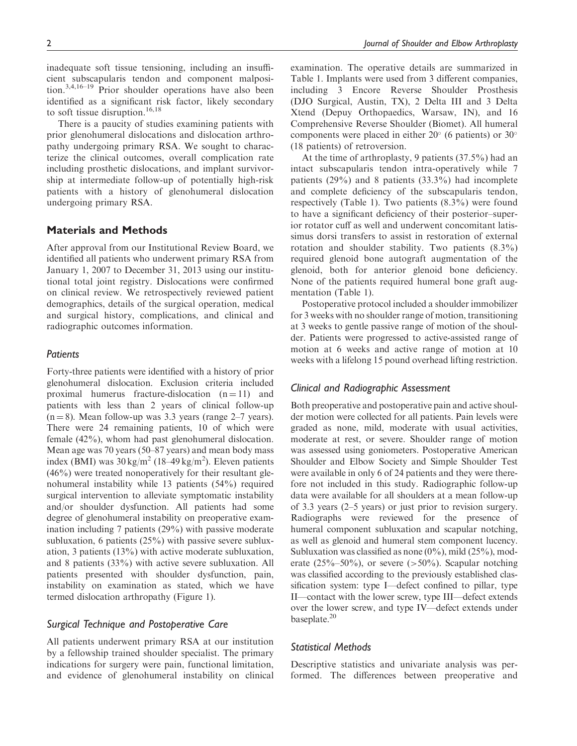inadequate soft tissue tensioning, including an insufficient subscapularis tendon and component malposition.<sup>3,4,16–19</sup> Prior shoulder operations have also been identified as a significant risk factor, likely secondary to soft tissue disruption.<sup>16,18</sup>

There is a paucity of studies examining patients with prior glenohumeral dislocations and dislocation arthropathy undergoing primary RSA. We sought to characterize the clinical outcomes, overall complication rate including prosthetic dislocations, and implant survivorship at intermediate follow-up of potentially high-risk patients with a history of glenohumeral dislocation undergoing primary RSA.

# Materials and Methods

After approval from our Institutional Review Board, we identified all patients who underwent primary RSA from January 1, 2007 to December 31, 2013 using our institutional total joint registry. Dislocations were confirmed on clinical review. We retrospectively reviewed patient demographics, details of the surgical operation, medical and surgical history, complications, and clinical and radiographic outcomes information.

## Patients

Forty-three patients were identified with a history of prior glenohumeral dislocation. Exclusion criteria included proximal humerus fracture-dislocation  $(n = 11)$  and patients with less than 2 years of clinical follow-up  $(n=8)$ . Mean follow-up was 3.3 years (range 2–7 years). There were 24 remaining patients, 10 of which were female (42%), whom had past glenohumeral dislocation. Mean age was 70 years (50–87 years) and mean body mass index (BMI) was  $30 \text{ kg/m}^2$  (18–49 kg/m<sup>2</sup>). Eleven patients (46%) were treated nonoperatively for their resultant glenohumeral instability while 13 patients (54%) required surgical intervention to alleviate symptomatic instability and/or shoulder dysfunction. All patients had some degree of glenohumeral instability on preoperative examination including 7 patients (29%) with passive moderate subluxation, 6 patients (25%) with passive severe subluxation, 3 patients (13%) with active moderate subluxation, and 8 patients (33%) with active severe subluxation. All patients presented with shoulder dysfunction, pain, instability on examination as stated, which we have termed dislocation arthropathy (Figure 1).

## Surgical Technique and Postoperative Care

All patients underwent primary RSA at our institution by a fellowship trained shoulder specialist. The primary indications for surgery were pain, functional limitation, and evidence of glenohumeral instability on clinical examination. The operative details are summarized in Table 1. Implants were used from 3 different companies, including 3 Encore Reverse Shoulder Prosthesis (DJO Surgical, Austin, TX), 2 Delta III and 3 Delta Xtend (Depuy Orthopaedics, Warsaw, IN), and 16 Comprehensive Reverse Shoulder (Biomet). All humeral components were placed in either  $20^{\circ}$  (6 patients) or  $30^{\circ}$ (18 patients) of retroversion.

At the time of arthroplasty, 9 patients (37.5%) had an intact subscapularis tendon intra-operatively while 7 patients (29%) and 8 patients (33.3%) had incomplete and complete deficiency of the subscapularis tendon, respectively (Table 1). Two patients (8.3%) were found to have a significant deficiency of their posterior–superior rotator cuff as well and underwent concomitant latissimus dorsi transfers to assist in restoration of external rotation and shoulder stability. Two patients (8.3%) required glenoid bone autograft augmentation of the glenoid, both for anterior glenoid bone deficiency. None of the patients required humeral bone graft augmentation (Table 1).

Postoperative protocol included a shoulder immobilizer for 3 weeks with no shoulder range of motion, transitioning at 3 weeks to gentle passive range of motion of the shoulder. Patients were progressed to active-assisted range of motion at 6 weeks and active range of motion at 10 weeks with a lifelong 15 pound overhead lifting restriction.

# Clinical and Radiographic Assessment

Both preoperative and postoperative pain and active shoulder motion were collected for all patients. Pain levels were graded as none, mild, moderate with usual activities, moderate at rest, or severe. Shoulder range of motion was assessed using goniometers. Postoperative American Shoulder and Elbow Society and Simple Shoulder Test were available in only 6 of 24 patients and they were therefore not included in this study. Radiographic follow-up data were available for all shoulders at a mean follow-up of 3.3 years (2–5 years) or just prior to revision surgery. Radiographs were reviewed for the presence of humeral component subluxation and scapular notching, as well as glenoid and humeral stem component lucency. Subluxation was classified as none  $(0\%)$ , mild  $(25\%)$ , moderate  $(25\%-50\%)$ , or severe  $(50\%)$ . Scapular notching was classified according to the previously established classification system: type I—defect confined to pillar, type II—contact with the lower screw, type III—defect extends over the lower screw, and type IV—defect extends under baseplate. $20$ 

# Statistical Methods

Descriptive statistics and univariate analysis was performed. The differences between preoperative and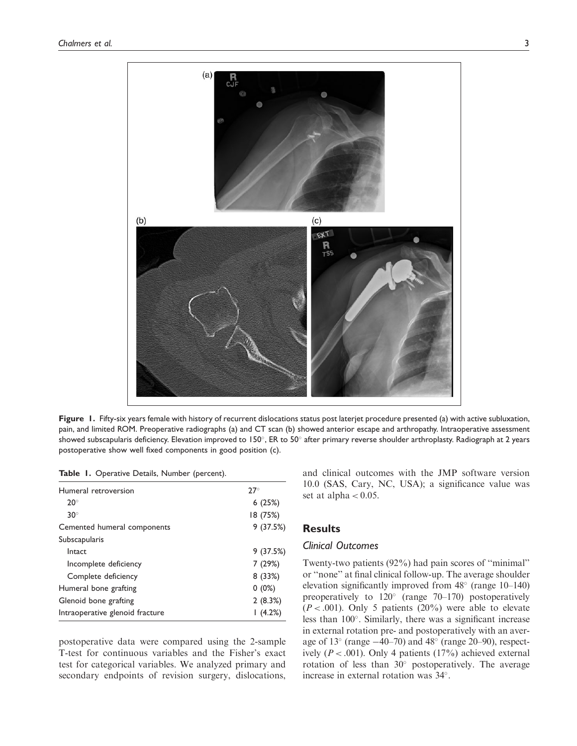

Figure 1. Fifty-six years female with history of recurrent dislocations status post laterjet procedure presented (a) with active subluxation, pain, and limited ROM. Preoperative radiographs (a) and CT scan (b) showed anterior escape and arthropathy. Intraoperative assessment showed subscapularis deficiency. Elevation improved to 150°, ER to 50° after primary reverse shoulder arthroplasty. Radiograph at 2 years postoperative show well fixed components in good position (c).

Table 1. Operative Details, Number (percent).

| Humeral retroversion            | $27^\circ$ |
|---------------------------------|------------|
| $20^{\circ}$                    | 6(25%)     |
| $30^\circ$                      | 18 (75%)   |
| Cemented humeral components     | 9(37.5%)   |
| Subscapularis                   |            |
| Intact                          | 9(37.5%)   |
| Incomplete deficiency           | 7 (29%)    |
| Complete deficiency             | 8(33%)     |
| Humeral bone grafting           | $0(0\%)$   |
| Glenoid bone grafting           | 2(8.3%)    |
| Intraoperative glenoid fracture | (4.2%)     |

postoperative data were compared using the 2-sample T-test for continuous variables and the Fisher's exact test for categorical variables. We analyzed primary and secondary endpoints of revision surgery, dislocations, and clinical outcomes with the JMP software version 10.0 (SAS, Cary, NC, USA); a significance value was set at alpha  $< 0.05$ .

# **Results**

# Clinical Outcomes

Twenty-two patients (92%) had pain scores of ''minimal'' or ''none'' at final clinical follow-up. The average shoulder elevation significantly improved from  $48^{\circ}$  (range  $10-140$ ) preoperatively to  $120^{\circ}$  (range 70–170) postoperatively  $(P < .001)$ . Only 5 patients  $(20\%)$  were able to elevate less than 100°. Similarly, there was a significant increase in external rotation pre- and postoperatively with an average of  $13^{\circ}$  (range  $-40-70$ ) and  $48^{\circ}$  (range 20-90), respectively ( $P < .001$ ). Only 4 patients (17%) achieved external rotation of less than 30° postoperatively. The average increase in external rotation was 34°.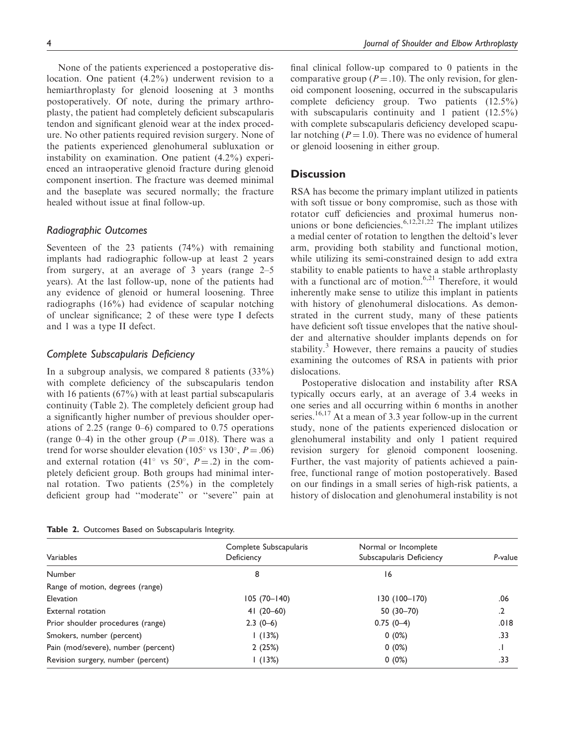None of the patients experienced a postoperative dislocation. One patient (4.2%) underwent revision to a hemiarthroplasty for glenoid loosening at 3 months postoperatively. Of note, during the primary arthroplasty, the patient had completely deficient subscapularis tendon and significant glenoid wear at the index procedure. No other patients required revision surgery. None of the patients experienced glenohumeral subluxation or instability on examination. One patient (4.2%) experienced an intraoperative glenoid fracture during glenoid component insertion. The fracture was deemed minimal and the baseplate was secured normally; the fracture healed without issue at final follow-up.

#### Radiographic Outcomes

Seventeen of the 23 patients (74%) with remaining implants had radiographic follow-up at least 2 years from surgery, at an average of 3 years (range 2–5 years). At the last follow-up, none of the patients had any evidence of glenoid or humeral loosening. Three radiographs (16%) had evidence of scapular notching of unclear significance; 2 of these were type I defects and 1 was a type II defect.

## Complete Subscapularis Deficiency

In a subgroup analysis, we compared 8 patients  $(33\%)$ with complete deficiency of the subscapularis tendon with 16 patients (67%) with at least partial subscapularis continuity (Table 2). The completely deficient group had a significantly higher number of previous shoulder operations of 2.25 (range  $0-6$ ) compared to 0.75 operations (range 0–4) in the other group ( $P = .018$ ). There was a trend for worse shoulder elevation (105 $\degree$  vs 130 $\degree$ ,  $P = .06$ ) and external rotation (41° vs 50°,  $P = .2$ ) in the completely deficient group. Both groups had minimal internal rotation. Two patients (25%) in the completely deficient group had ''moderate'' or ''severe'' pain at

Table 2. Outcomes Based on Subscapularis Integrity.

final clinical follow-up compared to 0 patients in the comparative group ( $P = .10$ ). The only revision, for glenoid component loosening, occurred in the subscapularis complete deficiency group. Two patients (12.5%) with subscapularis continuity and 1 patient  $(12.5\%)$ with complete subscapularis deficiency developed scapular notching ( $P = 1.0$ ). There was no evidence of humeral or glenoid loosening in either group.

# **Discussion**

RSA has become the primary implant utilized in patients with soft tissue or bony compromise, such as those with rotator cuff deficiencies and proximal humerus nonunions or bone deficiencies.<sup>6,12,21,22</sup> The implant utilizes a medial center of rotation to lengthen the deltoid's lever arm, providing both stability and functional motion, while utilizing its semi-constrained design to add extra stability to enable patients to have a stable arthroplasty with a functional arc of motion.<sup>6,21</sup> Therefore, it would inherently make sense to utilize this implant in patients with history of glenohumeral dislocations. As demonstrated in the current study, many of these patients have deficient soft tissue envelopes that the native shoulder and alternative shoulder implants depends on for stability. $3$  However, there remains a paucity of studies examining the outcomes of RSA in patients with prior dislocations.

Postoperative dislocation and instability after RSA typically occurs early, at an average of 3.4 weeks in one series and all occurring within 6 months in another series.<sup>16,17</sup> At a mean of 3.3 year follow-up in the current study, none of the patients experienced dislocation or glenohumeral instability and only 1 patient required revision surgery for glenoid component loosening. Further, the vast majority of patients achieved a painfree, functional range of motion postoperatively. Based on our findings in a small series of high-risk patients, a history of dislocation and glenohumeral instability is not

| Variables                           | Complete Subscapularis<br>Deficiency | Normal or Incomplete<br>Subscapularis Deficiency | P-value |
|-------------------------------------|--------------------------------------|--------------------------------------------------|---------|
| Number                              | 8                                    | 16                                               |         |
| Range of motion, degrees (range)    |                                      |                                                  |         |
| Elevation                           | $105(70 - 140)$                      | 130 (100–170)                                    | .06     |
| External rotation                   | $41(20-60)$                          | $50(30 - 70)$                                    | $\cdot$ |
| Prior shoulder procedures (range)   | $2.3(0-6)$                           | $0.75(0-4)$                                      | .018    |
| Smokers, number (percent)           | 1(13%)                               | $0(0\%)$                                         | .33     |
| Pain (mod/severe), number (percent) | 2(25%)                               | $0(0\%)$                                         | $\cdot$ |
| Revision surgery, number (percent)  | 1(13%)                               | $0(0\%)$                                         | .33     |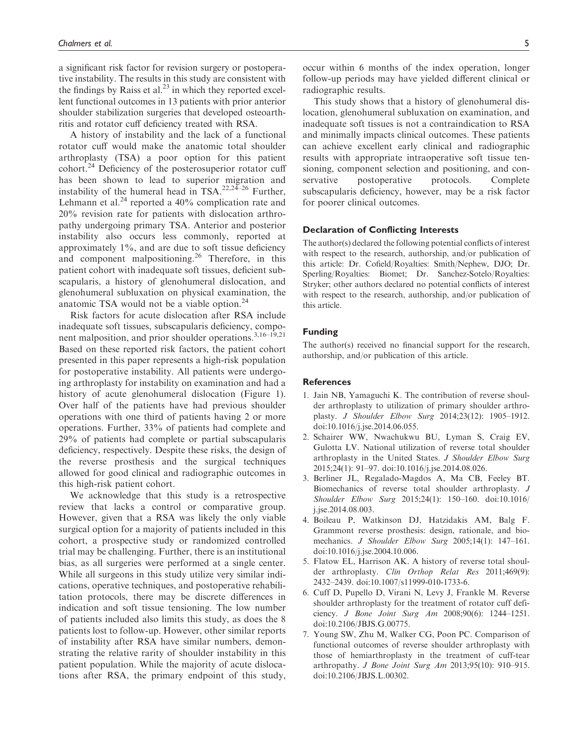a significant risk factor for revision surgery or postoperative instability. The results in this study are consistent with the findings by Raiss et al. $^{23}$  in which they reported excellent functional outcomes in 13 patients with prior anterior shoulder stabilization surgeries that developed osteoarthritis and rotator cuff deficiency treated with RSA.

A history of instability and the lack of a functional rotator cuff would make the anatomic total shoulder arthroplasty (TSA) a poor option for this patient cohort.<sup>24</sup> Deficiency of the posterosuperior rotator cuff has been shown to lead to superior migration and instability of the humeral head in TSA.<sup>22,24-26</sup> Further. Lehmann et al. $^{24}$  reported a 40% complication rate and 20% revision rate for patients with dislocation arthropathy undergoing primary TSA. Anterior and posterior instability also occurs less commonly, reported at approximately 1%, and are due to soft tissue deficiency and component malpositioning.<sup>26</sup> Therefore, in this patient cohort with inadequate soft tissues, deficient subscapularis, a history of glenohumeral dislocation, and glenohumeral subluxation on physical examination, the anatomic TSA would not be a viable option.<sup>24</sup>

Risk factors for acute dislocation after RSA include inadequate soft tissues, subscapularis deficiency, component malposition, and prior shoulder operations.<sup>3,16–19,21</sup> Based on these reported risk factors, the patient cohort presented in this paper represents a high-risk population for postoperative instability. All patients were undergoing arthroplasty for instability on examination and had a history of acute glenohumeral dislocation (Figure 1). Over half of the patients have had previous shoulder operations with one third of patients having 2 or more operations. Further, 33% of patients had complete and 29% of patients had complete or partial subscapularis deficiency, respectively. Despite these risks, the design of the reverse prosthesis and the surgical techniques allowed for good clinical and radiographic outcomes in this high-risk patient cohort.

We acknowledge that this study is a retrospective review that lacks a control or comparative group. However, given that a RSA was likely the only viable surgical option for a majority of patients included in this cohort, a prospective study or randomized controlled trial may be challenging. Further, there is an institutional bias, as all surgeries were performed at a single center. While all surgeons in this study utilize very similar indications, operative techniques, and postoperative rehabilitation protocols, there may be discrete differences in indication and soft tissue tensioning. The low number of patients included also limits this study, as does the 8 patients lost to follow-up. However, other similar reports of instability after RSA have similar numbers, demonstrating the relative rarity of shoulder instability in this patient population. While the majority of acute dislocations after RSA, the primary endpoint of this study, occur within 6 months of the index operation, longer follow-up periods may have yielded different clinical or radiographic results.

This study shows that a history of glenohumeral dislocation, glenohumeral subluxation on examination, and inadequate soft tissues is not a contraindication to RSA and minimally impacts clinical outcomes. These patients can achieve excellent early clinical and radiographic results with appropriate intraoperative soft tissue tensioning, component selection and positioning, and conservative postoperative protocols. Complete subscapularis deficiency, however, may be a risk factor for poorer clinical outcomes.

#### Declaration of Conflicting Interests

The author(s) declared the following potential conflicts of interest with respect to the research, authorship, and/or publication of this article: Dr. Cofield/Royalties: Smith/Nephew, DJO; Dr. Sperling/Royalties: Biomet; Dr. Sanchez-Sotelo/Royalties: Stryker; other authors declared no potential conflicts of interest with respect to the research, authorship, and/or publication of this article.

## Funding

The author(s) received no financial support for the research, authorship, and/or publication of this article.

#### **References**

- 1. Jain NB, Yamaguchi K. The contribution of reverse shoulder arthroplasty to utilization of primary shoulder arthroplasty. J Shoulder Elbow Surg 2014;23(12): 1905–1912. doi:10.1016/j.jse.2014.06.055.
- 2. Schairer WW, Nwachukwu BU, Lyman S, Craig EV, Gulotta LV. National utilization of reverse total shoulder arthroplasty in the United States. J Shoulder Elbow Surg 2015;24(1): 91–97. doi:10.1016/j.jse.2014.08.026.
- 3. Berliner JL, Regalado-Magdos A, Ma CB, Feeley BT. Biomechanics of reverse total shoulder arthroplasty. J Shoulder Elbow Surg 2015;24(1): 150–160. doi:10.1016/ j.jse.2014.08.003.
- 4. Boileau P, Watkinson DJ, Hatzidakis AM, Balg F. Grammont reverse prosthesis: design, rationale, and biomechanics. J Shoulder Elbow Surg 2005;14(1): 147-161. doi:10.1016/j.jse.2004.10.006.
- 5. Flatow EL, Harrison AK. A history of reverse total shoulder arthroplasty. Clin Orthop Relat Res 2011;469(9): 2432–2439. doi:10.1007/s11999-010-1733-6.
- 6. Cuff D, Pupello D, Virani N, Levy J, Frankle M. Reverse shoulder arthroplasty for the treatment of rotator cuff deficiency. J Bone Joint Surg Am 2008;90(6): 1244–1251. doi:10.2106/JBJS.G.00775.
- 7. Young SW, Zhu M, Walker CG, Poon PC. Comparison of functional outcomes of reverse shoulder arthroplasty with those of hemiarthroplasty in the treatment of cuff-tear arthropathy. J Bone Joint Surg Am 2013;95(10): 910–915. doi:10.2106/JBJS.L.00302.